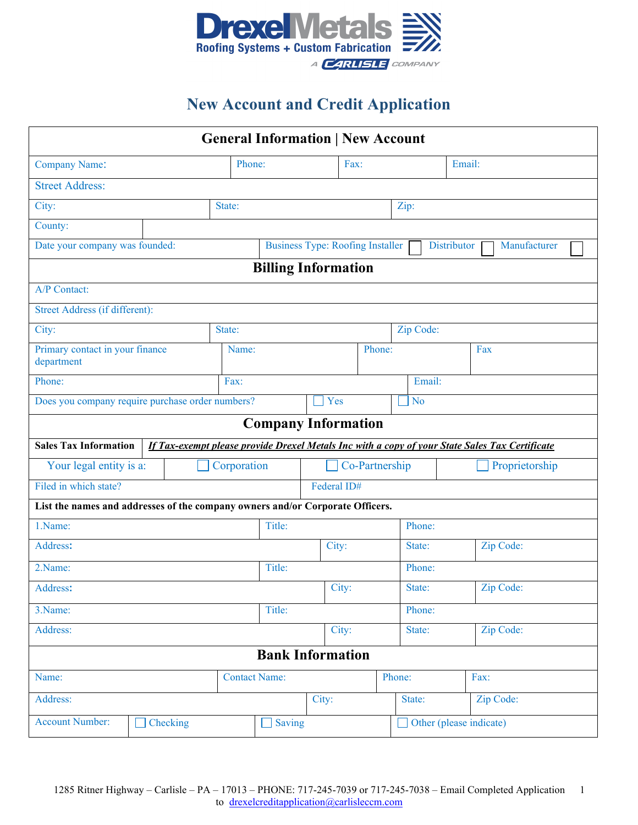

## **New Account and Credit Application**

| <b>General Information   New Account</b>                                                                                       |        |       |                      |                |           |           |                         |        |  |  |  |  |
|--------------------------------------------------------------------------------------------------------------------------------|--------|-------|----------------------|----------------|-----------|-----------|-------------------------|--------|--|--|--|--|
| <b>Company Name:</b>                                                                                                           |        |       | Phone:               |                | Fax:      |           |                         | Email: |  |  |  |  |
| <b>Street Address:</b>                                                                                                         |        |       |                      |                |           |           |                         |        |  |  |  |  |
| City:<br>State:                                                                                                                |        |       |                      | Zip:           |           |           |                         |        |  |  |  |  |
| County:                                                                                                                        |        |       |                      |                |           |           |                         |        |  |  |  |  |
| Date your company was founded:<br><b>Business Type: Roofing Installer</b><br><b>Distributor</b><br>Manufacturer                |        |       |                      |                |           |           |                         |        |  |  |  |  |
| <b>Billing Information</b>                                                                                                     |        |       |                      |                |           |           |                         |        |  |  |  |  |
| A/P Contact:                                                                                                                   |        |       |                      |                |           |           |                         |        |  |  |  |  |
| Street Address (if different):                                                                                                 |        |       |                      |                |           |           |                         |        |  |  |  |  |
| City:<br>State:                                                                                                                |        |       |                      |                |           |           | Zip Code:               |        |  |  |  |  |
| Primary contact in your finance<br>department                                                                                  |        |       | Name:                |                |           | Phone:    |                         | Fax    |  |  |  |  |
| Phone:<br>Fax:                                                                                                                 |        |       |                      |                |           |           | Email:                  |        |  |  |  |  |
| Does you company require purchase order numbers?                                                                               |        | Yes   |                      |                | <b>No</b> |           |                         |        |  |  |  |  |
| <b>Company Information</b>                                                                                                     |        |       |                      |                |           |           |                         |        |  |  |  |  |
| If Tax-exempt please provide Drexel Metals Inc with a copy of your State Sales Tax Certificate<br><b>Sales Tax Information</b> |        |       |                      |                |           |           |                         |        |  |  |  |  |
| Your legal entity is a:<br>Corporation                                                                                         |        |       |                      | Co-Partnership |           |           | Proprietorship          |        |  |  |  |  |
| Filed in which state?<br>Federal ID#                                                                                           |        |       |                      |                |           |           |                         |        |  |  |  |  |
| List the names and addresses of the company owners and/or Corporate Officers.                                                  |        |       |                      |                |           |           |                         |        |  |  |  |  |
| 1.Name:                                                                                                                        |        |       | Title:               |                |           | Phone:    |                         |        |  |  |  |  |
| Address:                                                                                                                       |        | City: |                      | State:         | Zip Code: |           |                         |        |  |  |  |  |
| 2.Name:                                                                                                                        | Title: |       |                      |                | Phone:    |           |                         |        |  |  |  |  |
| Address:                                                                                                                       |        | City: | State:               |                | Zip Code: |           |                         |        |  |  |  |  |
| 3. Name:                                                                                                                       | Title: |       |                      |                | Phone:    |           |                         |        |  |  |  |  |
| Address:                                                                                                                       | City:  |       |                      | State:         |           | Zip Code: |                         |        |  |  |  |  |
| <b>Bank Information</b>                                                                                                        |        |       |                      |                |           |           |                         |        |  |  |  |  |
| Name:                                                                                                                          |        |       | <b>Contact Name:</b> |                |           | Phone:    |                         | Fax:   |  |  |  |  |
| Address:                                                                                                                       |        | City: |                      |                | State:    | Zip Code: |                         |        |  |  |  |  |
| <b>Account Number:</b><br>Checking                                                                                             |        |       |                      | Saving         |           |           | Other (please indicate) |        |  |  |  |  |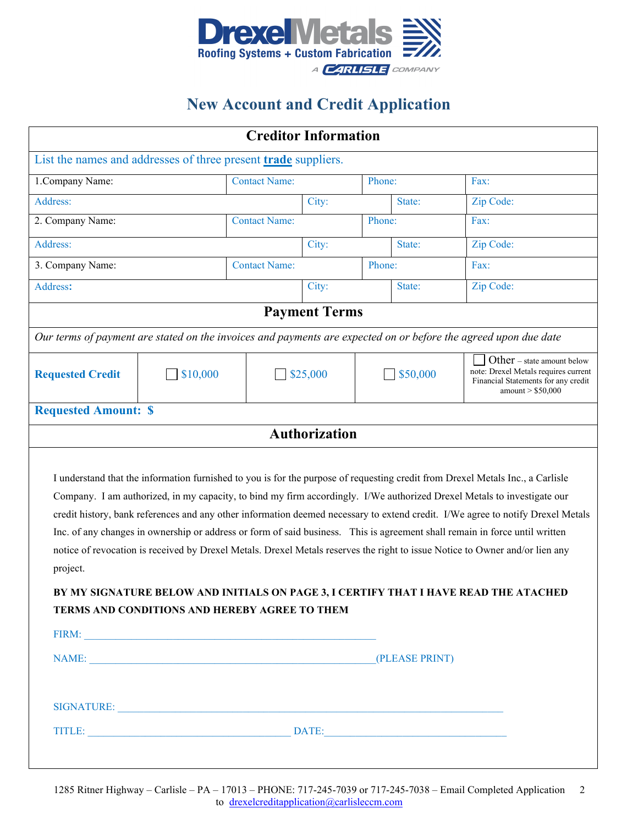

# **New Account and Credit Application**

| <b>Creditor Information</b>                                                                                                                                                                                                                                                                                                                                                                                                                                                                                                                                                                                                                                                                                                                                                                                                                 |                  |                      |          |        |          |                                                                                                                                 |  |  |  |  |  |  |  |
|---------------------------------------------------------------------------------------------------------------------------------------------------------------------------------------------------------------------------------------------------------------------------------------------------------------------------------------------------------------------------------------------------------------------------------------------------------------------------------------------------------------------------------------------------------------------------------------------------------------------------------------------------------------------------------------------------------------------------------------------------------------------------------------------------------------------------------------------|------------------|----------------------|----------|--------|----------|---------------------------------------------------------------------------------------------------------------------------------|--|--|--|--|--|--|--|
| List the names and addresses of three present <b>trade</b> suppliers.                                                                                                                                                                                                                                                                                                                                                                                                                                                                                                                                                                                                                                                                                                                                                                       |                  |                      |          |        |          |                                                                                                                                 |  |  |  |  |  |  |  |
| 1. Company Name:                                                                                                                                                                                                                                                                                                                                                                                                                                                                                                                                                                                                                                                                                                                                                                                                                            |                  | <b>Contact Name:</b> |          | Phone: |          | Fax:                                                                                                                            |  |  |  |  |  |  |  |
| Address:                                                                                                                                                                                                                                                                                                                                                                                                                                                                                                                                                                                                                                                                                                                                                                                                                                    |                  |                      | City:    |        | State:   | Zip Code:                                                                                                                       |  |  |  |  |  |  |  |
| 2. Company Name:                                                                                                                                                                                                                                                                                                                                                                                                                                                                                                                                                                                                                                                                                                                                                                                                                            |                  | <b>Contact Name:</b> | Phone:   |        |          | Fax:                                                                                                                            |  |  |  |  |  |  |  |
| Address:                                                                                                                                                                                                                                                                                                                                                                                                                                                                                                                                                                                                                                                                                                                                                                                                                                    |                  |                      | City:    |        | State:   | Zip Code:                                                                                                                       |  |  |  |  |  |  |  |
| 3. Company Name:                                                                                                                                                                                                                                                                                                                                                                                                                                                                                                                                                                                                                                                                                                                                                                                                                            |                  | <b>Contact Name:</b> | Phone:   |        |          | Fax:                                                                                                                            |  |  |  |  |  |  |  |
| Address:                                                                                                                                                                                                                                                                                                                                                                                                                                                                                                                                                                                                                                                                                                                                                                                                                                    |                  |                      | City:    |        | State:   | Zip Code:                                                                                                                       |  |  |  |  |  |  |  |
| <b>Payment Terms</b>                                                                                                                                                                                                                                                                                                                                                                                                                                                                                                                                                                                                                                                                                                                                                                                                                        |                  |                      |          |        |          |                                                                                                                                 |  |  |  |  |  |  |  |
| Our terms of payment are stated on the invoices and payments are expected on or before the agreed upon due date                                                                                                                                                                                                                                                                                                                                                                                                                                                                                                                                                                                                                                                                                                                             |                  |                      |          |        |          |                                                                                                                                 |  |  |  |  |  |  |  |
| <b>Requested Credit</b>                                                                                                                                                                                                                                                                                                                                                                                                                                                                                                                                                                                                                                                                                                                                                                                                                     | $\sqrt{$}10,000$ |                      | \$25,000 |        | \$50,000 | Other – state amount below<br>note: Drexel Metals requires current<br>Financial Statements for any credit<br>amount $> $50,000$ |  |  |  |  |  |  |  |
| <b>Requested Amount: \$</b>                                                                                                                                                                                                                                                                                                                                                                                                                                                                                                                                                                                                                                                                                                                                                                                                                 |                  |                      |          |        |          |                                                                                                                                 |  |  |  |  |  |  |  |
| <b>Authorization</b>                                                                                                                                                                                                                                                                                                                                                                                                                                                                                                                                                                                                                                                                                                                                                                                                                        |                  |                      |          |        |          |                                                                                                                                 |  |  |  |  |  |  |  |
| I understand that the information furnished to you is for the purpose of requesting credit from Drexel Metals Inc., a Carlisle<br>Company. I am authorized, in my capacity, to bind my firm accordingly. I/We authorized Drexel Metals to investigate our<br>credit history, bank references and any other information deemed necessary to extend credit. I/We agree to notify Drexel Metals<br>Inc. of any changes in ownership or address or form of said business. This is agreement shall remain in force until written<br>notice of revocation is received by Drexel Metals. Drexel Metals reserves the right to issue Notice to Owner and/or lien any<br>project.<br>BY MY SIGNATURE BELOW AND INITIALS ON PAGE 3, I CERTIFY THAT I HAVE READ THE ATACHED<br>TERMS AND CONDITIONS AND HEREBY AGREE TO THEM<br>(PLEASE PRINT)<br>NAME: |                  |                      |          |        |          |                                                                                                                                 |  |  |  |  |  |  |  |
| SIGNATURE: New York Contract the Contract of the Contract of the Contract of the Contract of the Contract of the Contract of the Contract of the Contract of the Contract of the Contract of the Contract of the Contract of t                                                                                                                                                                                                                                                                                                                                                                                                                                                                                                                                                                                                              |                  |                      |          |        |          |                                                                                                                                 |  |  |  |  |  |  |  |
|                                                                                                                                                                                                                                                                                                                                                                                                                                                                                                                                                                                                                                                                                                                                                                                                                                             |                  |                      |          |        |          |                                                                                                                                 |  |  |  |  |  |  |  |
|                                                                                                                                                                                                                                                                                                                                                                                                                                                                                                                                                                                                                                                                                                                                                                                                                                             |                  |                      |          |        |          |                                                                                                                                 |  |  |  |  |  |  |  |